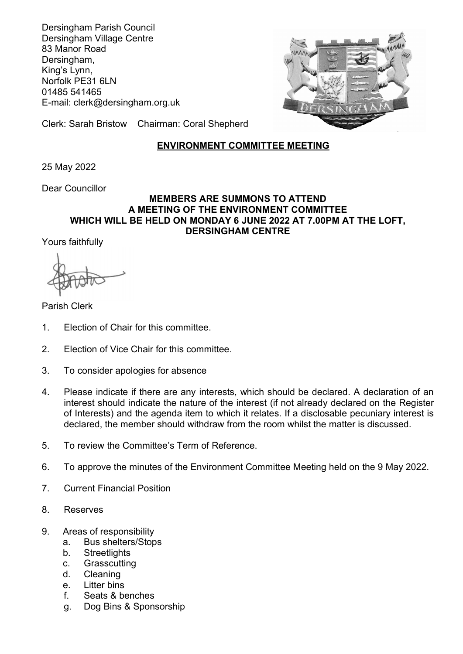Dersingham Parish Council Dersingham Village Centre 83 Manor Road Dersingham, King's Lynn, Norfolk PE31 6LN 01485 541465 E-mail: clerk@dersingham.org.uk



Clerk: Sarah Bristow Chairman: Coral Shepherd

## ENVIRONMENT COMMITTEE MEETING

25 May 2022

Dear Councillor

## MEMBERS ARE SUMMONS TO ATTEND A MEETING OF THE ENVIRONMENT COMMITTEE WHICH WILL BE HELD ON MONDAY 6 JUNE 2022 AT 7.00PM AT THE LOFT, DERSINGHAM CENTRE

Yours faithfully

Parish Clerk

- 1. Election of Chair for this committee.
- 2. Election of Vice Chair for this committee.
- 3. To consider apologies for absence
- 4. Please indicate if there are any interests, which should be declared. A declaration of an interest should indicate the nature of the interest (if not already declared on the Register of Interests) and the agenda item to which it relates. If a disclosable pecuniary interest is declared, the member should withdraw from the room whilst the matter is discussed.
- 5. To review the Committee's Term of Reference.
- 6. To approve the minutes of the Environment Committee Meeting held on the 9 May 2022.
- 7. Current Financial Position
- 8. Reserves
- 9. Areas of responsibility
	- a. Bus shelters/Stops
	- b. Streetlights
	- c. Grasscutting
	- d. Cleaning
	- e. Litter bins
	- f. Seats & benches
	- g. Dog Bins & Sponsorship